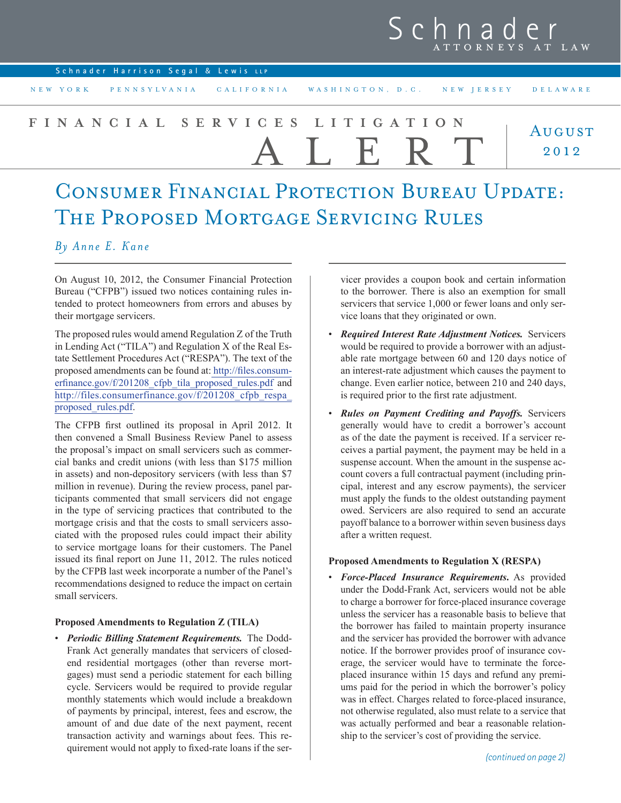## Schnader ATTORNEYS AT LAW

| Schnader Harrison Segal & Lewis LLP |  |  |
|-------------------------------------|--|--|
|                                     |  |  |

NEW YORK PENNSYLVANIA CALIFORNIA WASHINGTON, D.C. NEW JERSEY DELAWARE

## August 2012 **FINANCIAL SERVICES LITIGATION** ALERT

# CONSUMER FINANCIAL PROTECTION BUREAU UPDATE: The Proposed Mortgage Servicing Rules

## *By Anne E. Kane*

On August 10, 2012, the Consumer Financial Protection Bureau ("CFPB") issued two notices containing rules intended to protect homeowners from errors and abuses by their mortgage servicers.

The proposed rules would amend Regulation Z of the Truth in Lending Act ("TILA") and Regulation X of the Real Estate Settlement Procedures Act ("RESPA"). The text of the proposed amendments can be found at: [http://files.consum](http://files.consumerfinance.gov/f/201208_cfpb_tila_proposed_rules.pdf)erfinance.gov/f/201208 cfpb\_tila\_proposed\_rules.pdf and http://files.consumerfinance.gov/f/201208 cfpb\_respa [proposed\\_rules.pdf](http://files.consumerfinance.gov/f/201208_cfpb_respa_proposed_rules.pdf).

The CFPB first outlined its proposal in April 2012. It then convened a Small Business Review Panel to assess the proposal's impact on small servicers such as commercial banks and credit unions (with less than \$175 million in assets) and non-depository servicers (with less than \$7 million in revenue). During the review process, panel participants commented that small servicers did not engage in the type of servicing practices that contributed to the mortgage crisis and that the costs to small servicers associated with the proposed rules could impact their ability to service mortgage loans for their customers. The Panel issued its final report on June 11, 2012. The rules noticed by the CFPB last week incorporate a number of the Panel's recommendations designed to reduce the impact on certain small servicers.

### **Proposed Amendments to Regulation Z (TILA)**

• *Periodic Billing Statement Requirements.* The Dodd-Frank Act generally mandates that servicers of closedend residential mortgages (other than reverse mortgages) must send a periodic statement for each billing cycle. Servicers would be required to provide regular monthly statements which would include a breakdown of payments by principal, interest, fees and escrow, the amount of and due date of the next payment, recent transaction activity and warnings about fees. This requirement would not apply to fixed-rate loans if the ser-

vicer provides a coupon book and certain information to the borrower. There is also an exemption for small servicers that service 1,000 or fewer loans and only service loans that they originated or own.

- • *Required Interest Rate Adjustment Notices.* Servicers would be required to provide a borrower with an adjustable rate mortgage between 60 and 120 days notice of an interest-rate adjustment which causes the payment to change. Even earlier notice, between 210 and 240 days, is required prior to the first rate adjustment.
- • *Rules on Payment Crediting and Payoffs.* Servicers generally would have to credit a borrower's account as of the date the payment is received. If a servicer receives a partial payment, the payment may be held in a suspense account. When the amount in the suspense account covers a full contractual payment (including principal, interest and any escrow payments), the servicer must apply the funds to the oldest outstanding payment owed. Servicers are also required to send an accurate payoff balance to a borrower within seven business days after a written request.

#### **Proposed Amendments to Regulation X (RESPA)**

*Force-Placed Insurance Requirements*. As provided under the Dodd-Frank Act, servicers would not be able to charge a borrower for force-placed insurance coverage unless the servicer has a reasonable basis to believe that the borrower has failed to maintain property insurance and the servicer has provided the borrower with advance notice. If the borrower provides proof of insurance coverage, the servicer would have to terminate the forceplaced insurance within 15 days and refund any premiums paid for the period in which the borrower's policy was in effect. Charges related to force-placed insurance, not otherwise regulated, also must relate to a service that was actually performed and bear a reasonable relationship to the servicer's cost of providing the service.